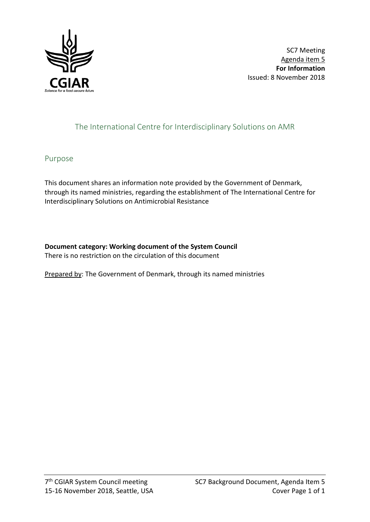

SC7 Meeting Agenda item 5 **For Information** Issued: 8 November 2018

# The International Centre for Interdisciplinary Solutions on AMR

## Purpose

This document shares an information note provided by the Government of Denmark, through its named ministries, regarding the establishment of The International Centre for Interdisciplinary Solutions on Antimicrobial Resistance

### **Document category: Working document of the System Council**

There is no restriction on the circulation of this document

Prepared by: The Government of Denmark, through its named ministries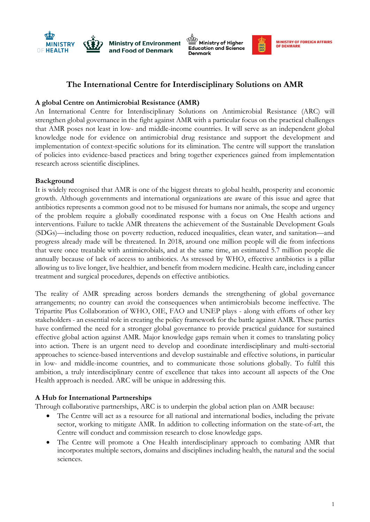





議

### **The International Centre for Interdisciplinary Solutions on AMR**

#### **A global Centre on Antimicrobial Resistance (AMR)**

An International Centre for Interdisciplinary Solutions on Antimicrobial Resistance (ARC) will strengthen global governance in the fight against AMR with a particular focus on the practical challenges that AMR poses not least in low- and middle-income countries. It will serve as an independent global knowledge node for evidence on antimicrobial drug resistance and support the development and implementation of context-specific solutions for its elimination. The centre will support the translation of policies into evidence-based practices and bring together experiences gained from implementation research across scientific disciplines.

#### **Background**

It is widely recognised that AMR is one of the biggest threats to global health, prosperity and economic growth. Although governments and international organizations are aware of this issue and agree that antibiotics represents a common good not to be misused for humans nor animals, the scope and urgency of the problem require a globally coordinated response with a focus on One Health actions and interventions. Failure to tackle AMR threatens the achievement of the Sustainable Development Goals (SDGs)—including those on poverty reduction, reduced inequalities, clean water, and sanitation—and progress already made will be threatened. In 2018, around one million people will die from infections that were once treatable with antimicrobials, and at the same time, an estimated 5.7 million people die annually because of lack of access to antibiotics. As stressed by WHO, effective antibiotics is a pillar allowing us to live longer, live healthier, and benefit from modern medicine. Health care, including cancer treatment and surgical procedures, depends on effective antibiotics.

The reality of AMR spreading across borders demands the strengthening of global governance arrangements; no country can avoid the consequences when antimicrobials become ineffective. The Tripartite Plus Collaboration of WHO, OIE, FAO and UNEP plays - along with efforts of other key stakeholders - an essential role in creating the policy framework for the battle against AMR. These parties have confirmed the need for a stronger global governance to provide practical guidance for sustained effective global action against AMR. Major knowledge gaps remain when it comes to translating policy into action. There is an urgent need to develop and coordinate interdisciplinary and multi-sectorial approaches to science-based interventions and develop sustainable and effective solutions, in particular in low- and middle-income countries, and to communicate those solutions globally. To fulfil this ambition, a truly interdisciplinary centre of excellence that takes into account all aspects of the One Health approach is needed. ARC will be unique in addressing this.

#### **A Hub for International Partnerships**

Through collaborative partnerships, ARC is to underpin the global action plan on AMR because:

- The Centre will act as a resource for all national and international bodies, including the private sector, working to mitigate AMR. In addition to collecting information on the state-of-art, the Centre will conduct and commission research to close knowledge gaps.
- The Centre will promote a One Health interdisciplinary approach to combating AMR that incorporates multiple sectors, domains and disciplines including health, the natural and the social sciences.